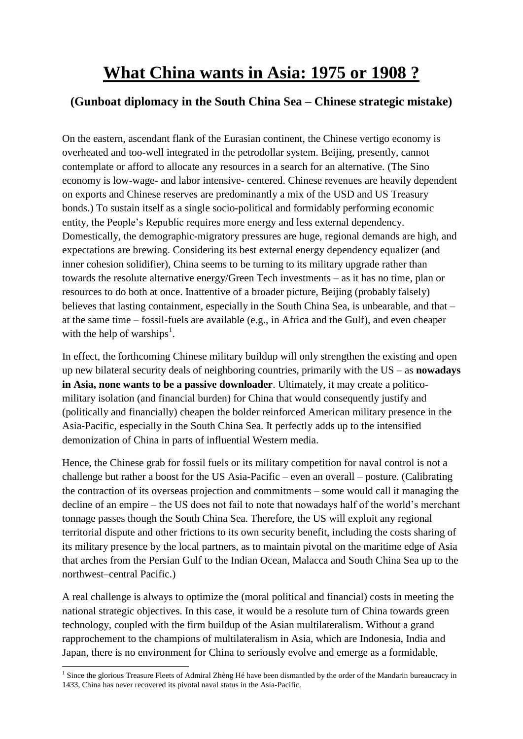## **What China wants in Asia: 1975 or 1908 ?**

## **(Gunboat diplomacy in the South China Sea – Chinese strategic mistake)**

On the eastern, ascendant flank of the Eurasian continent, the Chinese vertigo economy is overheated and too-well integrated in the petrodollar system. Beijing, presently, cannot contemplate or afford to allocate any resources in a search for an alternative. (The Sino economy is low-wage- and labor intensive- centered. Chinese revenues are heavily dependent on exports and Chinese reserves are predominantly a mix of the USD and US Treasury bonds.) To sustain itself as a single socio-political and formidably performing economic entity, the People's Republic requires more energy and less external dependency. Domestically, the demographic-migratory pressures are huge, regional demands are high, and expectations are brewing. Considering its best external energy dependency equalizer (and inner cohesion solidifier), China seems to be turning to its military upgrade rather than towards the resolute alternative energy/Green Tech investments – as it has no time, plan or resources to do both at once. Inattentive of a broader picture, Beijing (probably falsely) believes that lasting containment, especially in the South China Sea, is unbearable, and that – at the same time – fossil-fuels are available (e.g., in Africa and the Gulf), and even cheaper with the help of warships<sup>1</sup>.

In effect, the forthcoming Chinese military buildup will only strengthen the existing and open up new bilateral security deals of neighboring countries, primarily with the US – as **nowadays in Asia, none wants to be a passive downloader**. Ultimately, it may create a politicomilitary isolation (and financial burden) for China that would consequently justify and (politically and financially) cheapen the bolder reinforced American military presence in the Asia-Pacific, especially in the South China Sea. It perfectly adds up to the intensified demonization of China in parts of influential Western media.

Hence, the Chinese grab for fossil fuels or its military competition for naval control is not a challenge but rather a boost for the US Asia-Pacific – even an overall – posture. (Calibrating the contraction of its overseas projection and commitments – some would call it managing the decline of an empire – the US does not fail to note that nowadays half of the world's merchant tonnage passes though the South China Sea. Therefore, the US will exploit any regional territorial dispute and other frictions to its own security benefit, including the costs sharing of its military presence by the local partners, as to maintain pivotal on the maritime edge of Asia that arches from the Persian Gulf to the Indian Ocean, Malacca and South China Sea up to the northwest–central Pacific.)

A real challenge is always to optimize the (moral political and financial) costs in meeting the national strategic objectives. In this case, it would be a resolute turn of China towards green technology, coupled with the firm buildup of the Asian multilateralism. Without a grand rapprochement to the champions of multilateralism in Asia, which are Indonesia, India and Japan, there is no environment for China to seriously evolve and emerge as a formidable,

**<sup>.</sup>** <sup>1</sup> Since the glorious Treasure Fleets of Admiral Zhèng Hé have been dismantled by the order of the Mandarin bureaucracy in 1433, China has never recovered its pivotal naval status in the Asia-Pacific.